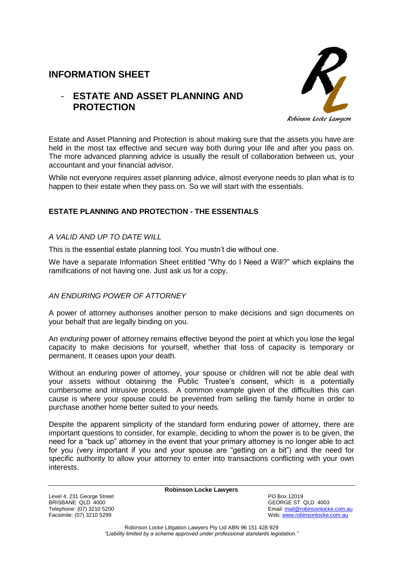# **INFORMATION SHEET**

# - **ESTATE AND ASSET PLANNING AND PROTECTION**



Estate and Asset Planning and Protection is about making sure that the assets you have are held in the most tax effective and secure way both during your life and after you pass on. The more advanced planning advice is usually the result of collaboration between us, your accountant and your financial advisor.

While not everyone requires asset planning advice, almost everyone needs to plan what is to happen to their estate when they pass on. So we will start with the essentials.

## **ESTATE PLANNING AND PROTECTION - THE ESSENTIALS**

## *A VALID AND UP TO DATE WILL*

This is the essential estate planning tool. You mustn't die without one.

We have a separate Information Sheet entitled "Why do I Need a Will?" which explains the ramifications of not having one. Just ask us for a copy.

## *AN ENDURING POWER OF ATTORNEY*

A power of attorney authorises another person to make decisions and sign documents on your behalf that are legally binding on you.

An *enduring* power of attorney remains effective beyond the point at which you lose the legal capacity to make decisions for yourself, whether that loss of capacity is temporary or permanent. It ceases upon your death.

Without an enduring power of attorney, your spouse or children will not be able deal with your assets without obtaining the Public Trustee's consent, which is a potentially cumbersome and intrusive process. A common example given of the difficulties this can cause is where your spouse could be prevented from selling the family home in order to purchase another home better suited to your needs.

Despite the apparent simplicity of the standard form enduring power of attorney, there are important questions to consider, for example, deciding to whom the power is to be given, the need for a "back up" attorney in the event that your primary attorney is no longer able to act for you (very important if you and your spouse are "getting on a bit") and the need for specific authority to allow your attorney to enter into transactions conflicting with your own interests.

**Robinson Locke Lawyers**

Level 4, 231 George Street National School (1999) And the Street PO Box 12019<br>BRISBANE QLD 4000 BRISBANE QLD 4000<br>
Telephone: (07) 3210 5200<br>
Telephone: (07) 3210 5200

Telephone: (07) 3210 5200<br>
Facsimile: (07) 3210 5299<br>
Facsimile: (07) 3210 5299 Web: [www.robinsonlocke.com.au](http://www.robinsonlocke.com.au/)

> Robinson Locke Litigation Lawyers Pty Ltd ABN 96 151 428 929 *"Liability limited by a scheme approved under professional standards legislation."*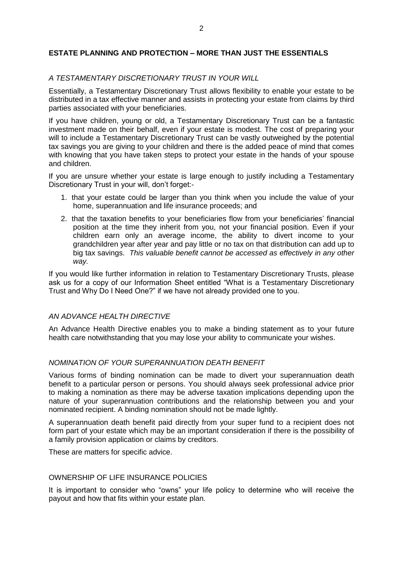### **ESTATE PLANNING AND PROTECTION – MORE THAN JUST THE ESSENTIALS**

#### *A TESTAMENTARY DISCRETIONARY TRUST IN YOUR WILL*

Essentially, a Testamentary Discretionary Trust allows flexibility to enable your estate to be distributed in a tax effective manner and assists in protecting your estate from claims by third parties associated with your beneficiaries.

If you have children, young or old, a Testamentary Discretionary Trust can be a fantastic investment made on their behalf, even if your estate is modest. The cost of preparing your will to include a Testamentary Discretionary Trust can be vastly outweighed by the potential tax savings you are giving to your children and there is the added peace of mind that comes with knowing that you have taken steps to protect your estate in the hands of your spouse and children.

If you are unsure whether your estate is large enough to justify including a Testamentary Discretionary Trust in your will, don't forget:-

- 1. that your estate could be larger than you think when you include the value of your home, superannuation and life insurance proceeds; and
- 2. that the taxation benefits to your beneficiaries flow from your beneficiaries' financial position at the time they inherit from you, not your financial position. Even if your children earn only an average income, the ability to divert income to your grandchildren year after year and pay little or no tax on that distribution can add up to big tax savings. *This valuable benefit cannot be accessed as effectively in any other way.*

If you would like further information in relation to Testamentary Discretionary Trusts, please ask us for a copy of our Information Sheet entitled "What is a Testamentary Discretionary Trust and Why Do I Need One?" if we have not already provided one to you.

#### *AN ADVANCE HEALTH DIRECTIVE*

An Advance Health Directive enables you to make a binding statement as to your future health care notwithstanding that you may lose your ability to communicate your wishes.

#### *NOMINATION OF YOUR SUPERANNUATION DEATH BENEFIT*

Various forms of binding nomination can be made to divert your superannuation death benefit to a particular person or persons. You should always seek professional advice prior to making a nomination as there may be adverse taxation implications depending upon the nature of your superannuation contributions and the relationship between you and your nominated recipient. A binding nomination should not be made lightly.

A superannuation death benefit paid directly from your super fund to a recipient does not form part of your estate which may be an important consideration if there is the possibility of a family provision application or claims by creditors.

These are matters for specific advice.

### OWNERSHIP OF LIFE INSURANCE POLICIES

It is important to consider who "owns" your life policy to determine who will receive the payout and how that fits within your estate plan.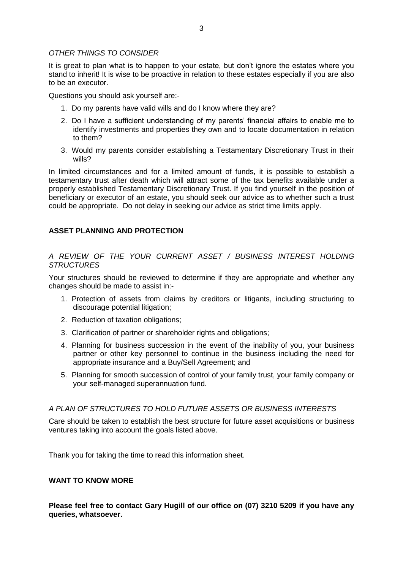It is great to plan what is to happen to your estate, but don't ignore the estates where you stand to inherit! It is wise to be proactive in relation to these estates especially if you are also to be an executor.

Questions you should ask yourself are:-

- 1. Do my parents have valid wills and do I know where they are?
- 2. Do I have a sufficient understanding of my parents' financial affairs to enable me to identify investments and properties they own and to locate documentation in relation to them?
- 3. Would my parents consider establishing a Testamentary Discretionary Trust in their wills?

In limited circumstances and for a limited amount of funds, it is possible to establish a testamentary trust after death which will attract some of the tax benefits available under a properly established Testamentary Discretionary Trust. If you find yourself in the position of beneficiary or executor of an estate, you should seek our advice as to whether such a trust could be appropriate. Do not delay in seeking our advice as strict time limits apply.

## **ASSET PLANNING AND PROTECTION**

## *A REVIEW OF THE YOUR CURRENT ASSET / BUSINESS INTEREST HOLDING STRUCTURES*

Your structures should be reviewed to determine if they are appropriate and whether any changes should be made to assist in:-

- 1. Protection of assets from claims by creditors or litigants, including structuring to discourage potential litigation;
- 2. Reduction of taxation obligations;
- 3. Clarification of partner or shareholder rights and obligations;
- 4. Planning for business succession in the event of the inability of you, your business partner or other key personnel to continue in the business including the need for appropriate insurance and a Buy/Sell Agreement; and
- 5. Planning for smooth succession of control of your family trust, your family company or your self-managed superannuation fund.

## *A PLAN OF STRUCTURES TO HOLD FUTURE ASSETS OR BUSINESS INTERESTS*

Care should be taken to establish the best structure for future asset acquisitions or business ventures taking into account the goals listed above.

Thank you for taking the time to read this information sheet.

## **WANT TO KNOW MORE**

**Please feel free to contact Gary Hugill of our office on (07) 3210 5209 if you have any queries, whatsoever.**